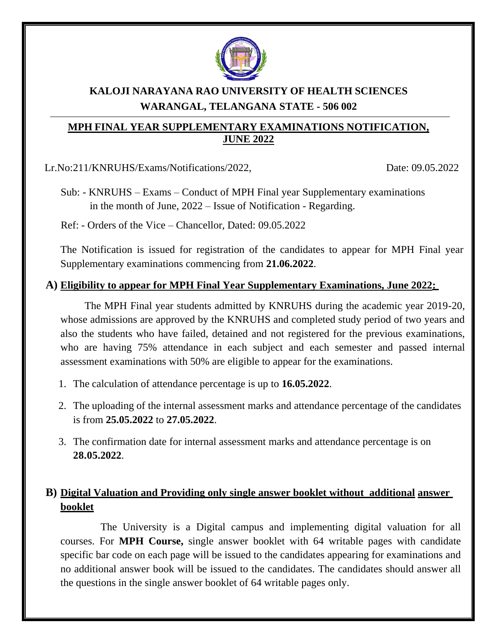

# **KALOJI NARAYANA RAO UNIVERSITY OF HEALTH SCIENCES WARANGAL, TELANGANA STATE - 506 002**

#### **MPH FINAL YEAR SUPPLEMENTARY EXAMINATIONS NOTIFICATION, JUNE 2022**

Lr.No:211/KNRUHS/Exams/Notifications/2022, Date: 09.05.2022

Sub: - KNRUHS – Exams – Conduct of MPH Final year Supplementary examinations in the month of June, 2022 – Issue of Notification - Regarding.

Ref: - Orders of the Vice – Chancellor, Dated: 09.05.2022

The Notification is issued for registration of the candidates to appear for MPH Final year Supplementary examinations commencing from **21.06.2022**.

### **A) Eligibility to appear for MPH Final Year Supplementary Examinations, June 2022:**

The MPH Final year students admitted by KNRUHS during the academic year 2019-20, whose admissions are approved by the KNRUHS and completed study period of two years and also the students who have failed, detained and not registered for the previous examinations, who are having 75% attendance in each subject and each semester and passed internal assessment examinations with 50% are eligible to appear for the examinations.

- 1. The calculation of attendance percentage is up to **16.05.2022**.
- 2. The uploading of the internal assessment marks and attendance percentage of the candidates is from **25.05.2022** to **27.05.2022**.
- 3. The confirmation date for internal assessment marks and attendance percentage is on **28.05.2022**.

# **B) Digital Valuation and Providing only single answer booklet without additional answer booklet**

The University is a Digital campus and implementing digital valuation for all courses. For **MPH Course,** single answer booklet with 64 writable pages with candidate specific bar code on each page will be issued to the candidates appearing for examinations and no additional answer book will be issued to the candidates. The candidates should answer all the questions in the single answer booklet of 64 writable pages only.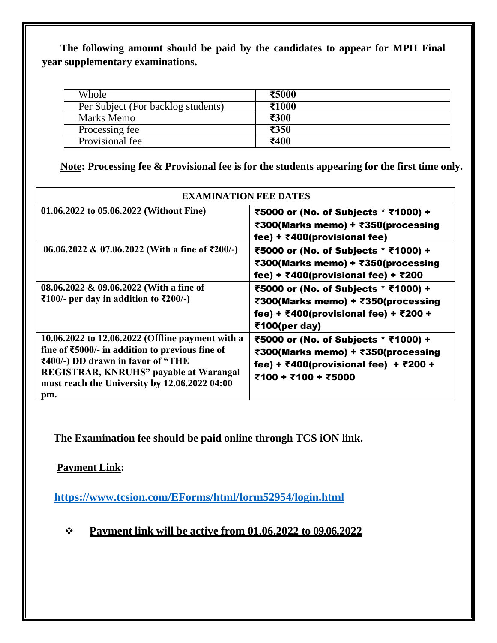**The following amount should be paid by the candidates to appear for MPH Final year supplementary examinations.**

| Whole                              | ₹5000 |
|------------------------------------|-------|
| Per Subject (For backlog students) | ₹1000 |
| Marks Memo                         | ₹300  |
| Processing fee                     | ₹350  |
| Provisional fee                    | ₹400  |

**Note: Processing fee & Provisional fee is for the students appearing for the first time only.**

| <b>EXAMINATION FEE DATES</b>                                                                                                                                                                                                                                     |                                                                                                                                                                           |  |  |  |
|------------------------------------------------------------------------------------------------------------------------------------------------------------------------------------------------------------------------------------------------------------------|---------------------------------------------------------------------------------------------------------------------------------------------------------------------------|--|--|--|
| 01.06.2022 to 05.06.2022 (Without Fine)                                                                                                                                                                                                                          | ₹5000 or (No. of Subjects * ₹1000) +<br>₹300(Marks memo) + ₹350(processing<br>fee) + $\bar{x}$ 400(provisional fee)                                                       |  |  |  |
| 06.06.2022 & 07.06.2022 (With a fine of ₹200/-)                                                                                                                                                                                                                  | ₹5000 or (No. of Subjects * ₹1000) +<br>₹300(Marks memo) + ₹350(processing<br>fee) + ₹400(provisional fee) + ₹200                                                         |  |  |  |
| 08.06.2022 & 09.06.2022 (With a fine of<br>₹100/- per day in addition to ₹200/-)                                                                                                                                                                                 | ₹5000 or (No. of Subjects * ₹1000) +<br>₹300(Marks memo) + ₹350(processing<br>fee) + ₹400(provisional fee) + ₹200 +<br>₹100(per day)                                      |  |  |  |
| 10.06.2022 to 12.06.2022 (Offline payment with a<br>fine of $\text{\textsterling}5000$ /- in addition to previous fine of<br>₹400/-) DD drawn in favor of "THE<br>REGISTRAR, KNRUHS" payable at Warangal<br>must reach the University by 12.06.2022 04:00<br>pm. | ₹5000 or (No. of Subjects * ₹1000) +<br>₹300(Marks memo) + ₹350(processing<br>fee) + $\overline{\xi}400$ (provisional fee) + $\overline{\xi}200$ +<br>₹100 + ₹100 + ₹5000 |  |  |  |

**The Examination fee should be paid online through TCS iON link.**

**Payment Link:**

**<https://www.tcsion.com/EForms/html/form52954/login.html>**

❖ **Payment link will be active from 01.06.2022 to 09.06.2022**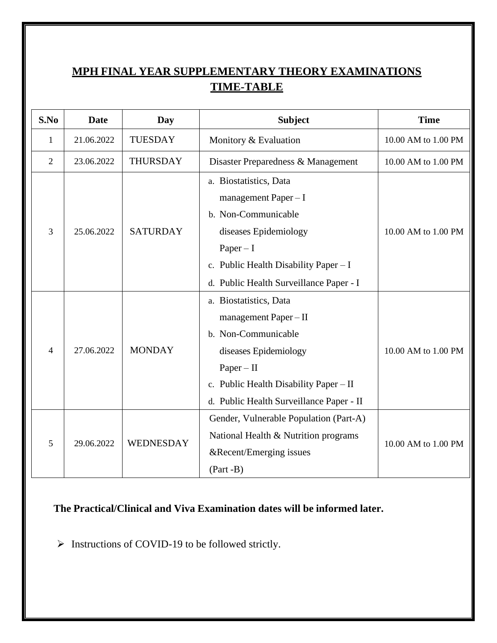# **MPH FINAL YEAR SUPPLEMENTARY THEORY EXAMINATIONS TIME-TABLE**

| S.No            | Date       | Day                    | <b>Subject</b>                           | <b>Time</b>         |
|-----------------|------------|------------------------|------------------------------------------|---------------------|
| 1               | 21.06.2022 | <b>TUESDAY</b>         | Monitory & Evaluation                    | 10.00 AM to 1.00 PM |
| $\overline{2}$  | 23.06.2022 | <b>THURSDAY</b>        | Disaster Preparedness & Management       | 10.00 AM to 1.00 PM |
|                 |            |                        | a. Biostatistics, Data                   |                     |
| 3<br>25.06.2022 |            |                        | management Paper - I                     | 10.00 AM to 1.00 PM |
|                 |            | <b>SATURDAY</b>        | b. Non-Communicable                      |                     |
|                 |            |                        | diseases Epidemiology                    |                     |
|                 |            | $Paper - I$            |                                          |                     |
|                 |            |                        | c. Public Health Disability Paper $-I$   |                     |
|                 |            |                        | d. Public Health Surveillance Paper - I  |                     |
| 27.06.2022<br>4 |            | a. Biostatistics, Data |                                          |                     |
|                 |            | <b>MONDAY</b>          | management Paper - II                    |                     |
|                 |            |                        | b. Non-Communicable                      |                     |
|                 |            |                        | diseases Epidemiology                    | 10.00 AM to 1.00 PM |
|                 |            |                        | $Paper - II$                             |                     |
|                 |            |                        | c. Public Health Disability Paper - II   |                     |
|                 |            |                        | d. Public Health Surveillance Paper - II |                     |
| 29.06.2022<br>5 |            | WEDNESDAY              | Gender, Vulnerable Population (Part-A)   |                     |
|                 |            |                        | National Health & Nutrition programs     | 10.00 AM to 1.00 PM |
|                 |            |                        | &Recent/Emerging issues                  |                     |
|                 |            |                        | $(Part - B)$                             |                     |

**The Practical/Clinical and Viva Examination dates will be informed later.**

➢ Instructions of COVID-19 to be followed strictly.